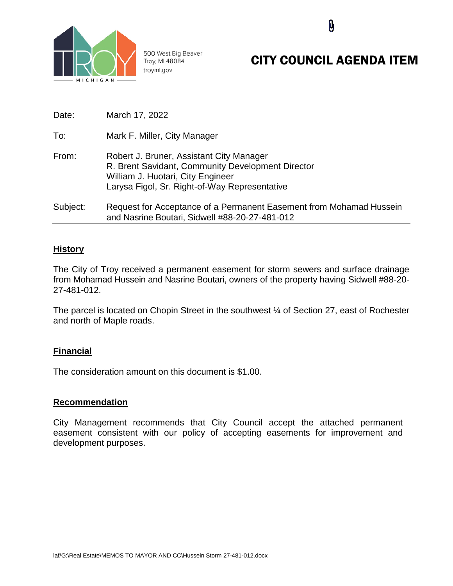

500 West Big Beaver Troy, MI 48084 troymi.gov

# CITY COUNCIL AGENDA ITEM

**N** 

| Date:    | March 17, 2022                                                                                                                                                                      |
|----------|-------------------------------------------------------------------------------------------------------------------------------------------------------------------------------------|
| To:      | Mark F. Miller, City Manager                                                                                                                                                        |
| From:    | Robert J. Bruner, Assistant City Manager<br>R. Brent Savidant, Community Development Director<br>William J. Huotari, City Engineer<br>Larysa Figol, Sr. Right-of-Way Representative |
| Subject: | Request for Acceptance of a Permanent Easement from Mohamad Hussein<br>and Nasrine Boutari, Sidwell #88-20-27-481-012                                                               |

### **History**

The City of Troy received a permanent easement for storm sewers and surface drainage from Mohamad Hussein and Nasrine Boutari, owners of the property having Sidwell #88-20- 27-481-012.

The parcel is located on Chopin Street in the southwest ¼ of Section 27, east of Rochester and north of Maple roads.

# **Financial**

The consideration amount on this document is \$1.00.

#### **Recommendation**

City Management recommends that City Council accept the attached permanent easement consistent with our policy of accepting easements for improvement and development purposes.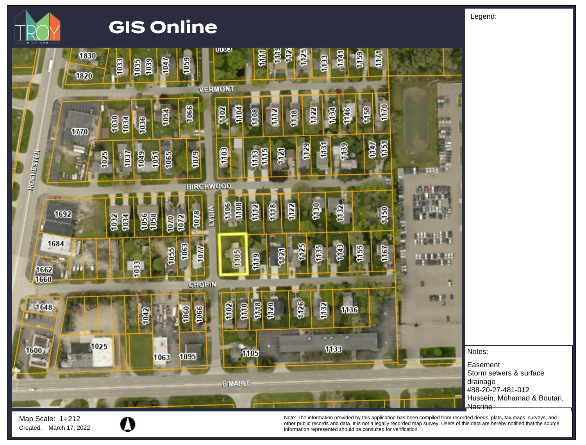

# **GIS Online**



Notes:

**Easement** Storm sewers & surface drainage #88-20-27-481-012 Hussein, Mohamad & Boutari, Nasrine

Map Scale: 1= 212

Note: The information provided by this application has been compiled from recorded deeds, plats, tax maps, surveys, and Other The information provided by this application has been compiled from recorded deeds, plats, tax maps, surveys, and<br>Created: March 17, 2022 **information represented should be consulted for verification**.<br>Information re